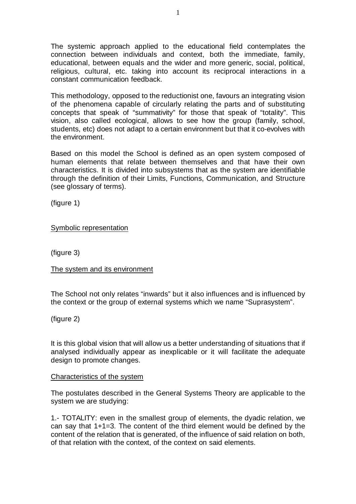The systemic approach applied to the educational field contemplates the connection between individuals and context, both the immediate, family, educational, between equals and the wider and more generic, social, political, religious, cultural, etc. taking into account its reciprocal interactions in a constant communication feedback.

This methodology, opposed to the reductionist one, favours an integrating vision of the phenomena capable of circularly relating the parts and of substituting concepts that speak of "summativity" for those that speak of "totality". This vision, also called ecological, allows to see how the group (family, school, students, etc) does not adapt to a certain environment but that it co-evolves with the environment.

Based on this model the School is defined as an open system composed of human elements that relate between themselves and that have their own characteristics. It is divided into subsystems that as the system are identifiable through the definition of their Limits, Functions, Communication, and Structure (see glossary of terms).

(figure 1)

Symbolic representation

(figure 3)

The system and its environment

The School not only relates "inwards" but it also influences and is influenced by the context or the group of external systems which we name "Suprasystem".

(figure 2)

It is this global vision that will allow us a better understanding of situations that if analysed individually appear as inexplicable or it will facilitate the adequate design to promote changes.

# Characteristics of the system

The postulates described in the General Systems Theory are applicable to the system we are studying:

1.- TOTALITY: even in the smallest group of elements, the dyadic relation, we can say that 1+1=3. The content of the third element would be defined by the content of the relation that is generated, of the influence of said relation on both, of that relation with the context, of the context on said elements.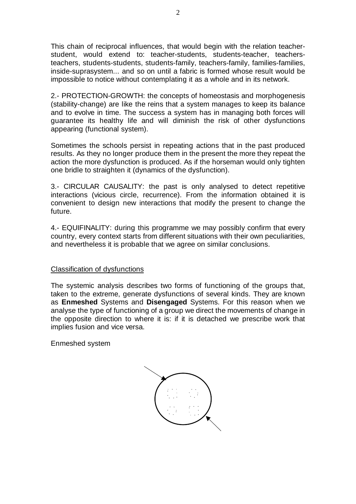This chain of reciprocal influences, that would begin with the relation teacherstudent, would extend to: teacher-students, students-teacher, teachersteachers, students-students, students-family, teachers-family, families-families, inside-suprasystem... and so on until a fabric is formed whose result would be impossible to notice without contemplating it as a whole and in its network.

2.- PROTECTION-GROWTH: the concepts of homeostasis and morphogenesis (stability-change) are like the reins that a system manages to keep its balance and to evolve in time. The success a system has in managing both forces will guarantee its healthy life and will diminish the risk of other dysfunctions appearing (functional system).

Sometimes the schools persist in repeating actions that in the past produced results. As they no longer produce them in the present the more they repeat the action the more dysfunction is produced. As if the horseman would only tighten one bridle to straighten it (dynamics of the dysfunction).

3.- CIRCULAR CAUSALITY: the past is only analysed to detect repetitive interactions (vicious circle, recurrence). From the information obtained it is convenient to design new interactions that modify the present to change the future.

4.- EQUIFINALITY: during this programme we may possibly confirm that every country, every context starts from different situations with their own peculiarities, and nevertheless it is probable that we agree on similar conclusions.

# Classification of dysfunctions

The systemic analysis describes two forms of functioning of the groups that, taken to the extreme, generate dysfunctions of several kinds. They are known as **Enmeshed** Systems and **Disengaged** Systems. For this reason when we analyse the type of functioning of a group we direct the movements of change in the opposite direction to where it is: if it is detached we prescribe work that implies fusion and vice versa.

Enmeshed system

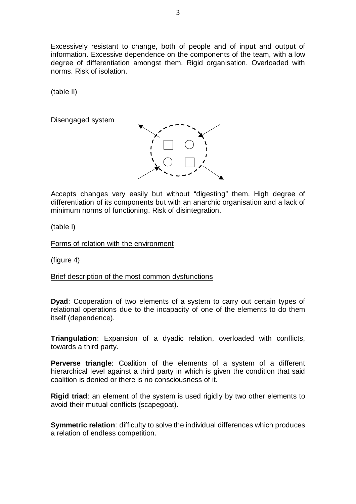Excessively resistant to change, both of people and of input and output of information. Excessive dependence on the components of the team, with a low degree of differentiation amongst them. Rigid organisation. Overloaded with norms. Risk of isolation.

(table II)

Disengaged system



Accepts changes very easily but without "digesting" them. High degree of differentiation of its components but with an anarchic organisation and a lack of minimum norms of functioning. Risk of disintegration.

(table I)

Forms of relation with the environment

(figure 4)

Brief description of the most common dysfunctions

**Dyad**: Cooperation of two elements of a system to carry out certain types of relational operations due to the incapacity of one of the elements to do them itself (dependence).

**Triangulation**: Expansion of a dyadic relation, overloaded with conflicts, towards a third party.

**Perverse triangle**: Coalition of the elements of a system of a different hierarchical level against a third party in which is given the condition that said coalition is denied or there is no consciousness of it.

**Rigid triad:** an element of the system is used rigidly by two other elements to avoid their mutual conflicts (scapegoat).

**Symmetric relation**: difficulty to solve the individual differences which produces a relation of endless competition.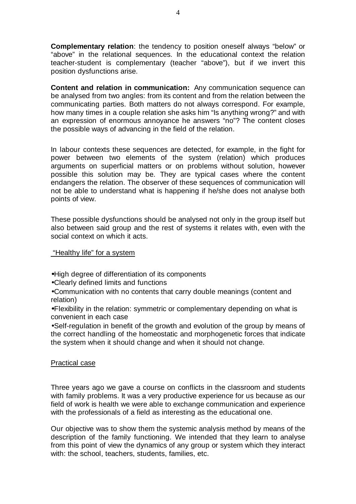**Complementary relation**: the tendency to position oneself always "below" or "above" in the relational sequences. In the educational context the relation teacher-student is complementary (teacher "above"), but if we invert this position dysfunctions arise.

**Content and relation in communication:** Any communication sequence can be analysed from two angles: from its content and from the relation between the communicating parties. Both matters do not always correspond. For example, how many times in a couple relation she asks him "Is anything wrong?" and with an expression of enormous annoyance he answers "no"? The content closes the possible ways of advancing in the field of the relation.

In labour contexts these sequences are detected, for example, in the fight for power between two elements of the system (relation) which produces arguments on superficial matters or on problems without solution, however possible this solution may be. They are typical cases where the content endangers the relation. The observer of these sequences of communication will not be able to understand what is happening if he/she does not analyse both points of view.

These possible dysfunctions should be analysed not only in the group itself but also between said group and the rest of systems it relates with, even with the social context on which it acts.

"Healthy life" for a system

•High degree of differentiation of its components

•Clearly defined limits and functions

•Communication with no contents that carry double meanings (content and relation)

•Flexibility in the relation: symmetric or complementary depending on what is convenient in each case

•Self-regulation in benefit of the growth and evolution of the group by means of the correct handling of the homeostatic and morphogenetic forces that indicate the system when it should change and when it should not change.

# Practical case

Three years ago we gave a course on conflicts in the classroom and students with family problems. It was a very productive experience for us because as our field of work is health we were able to exchange communication and experience with the professionals of a field as interesting as the educational one.

Our objective was to show them the systemic analysis method by means of the description of the family functioning. We intended that they learn to analyse from this point of view the dynamics of any group or system which they interact with: the school, teachers, students, families, etc.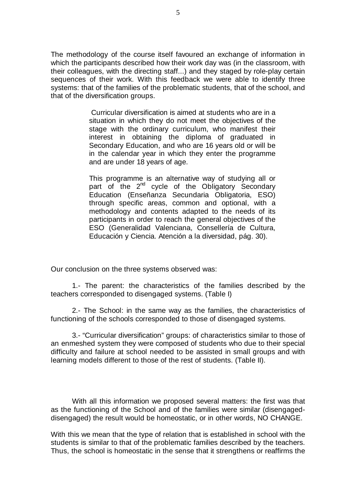The methodology of the course itself favoured an exchange of information in which the participants described how their work day was (in the classroom, with their colleagues, with the directing staff...) and they staged by role-play certain sequences of their work. With this feedback we were able to identify three systems: that of the families of the problematic students, that of the school, and that of the diversification groups.

> Curricular diversification is aimed at students who are in a situation in which they do not meet the objectives of the stage with the ordinary curriculum, who manifest their interest in obtaining the diploma of graduated in Secondary Education, and who are 16 years old or will be in the calendar year in which they enter the programme and are under 18 years of age.

> This programme is an alternative way of studying all or part of the 2<sup>nd</sup> cycle of the Obligatory Secondary Education (Enseñanza Secundaria Obligatoria, ESO) through specific areas, common and optional, with a methodology and contents adapted to the needs of its participants in order to reach the general objectives of the ESO (Generalidad Valenciana, Consellería de Cultura, Educación y Ciencia. Atención a la diversidad, pág. 30).

Our conclusion on the three systems observed was:

1.- The parent: the characteristics of the families described by the teachers corresponded to disengaged systems. (Table I)

2.- The School: in the same way as the families, the characteristics of functioning of the schools corresponded to those of disengaged systems.

3.- "Curricular diversification" groups: of characteristics similar to those of an enmeshed system they were composed of students who due to their special difficulty and failure at school needed to be assisted in small groups and with learning models different to those of the rest of students. (Table II).

With all this information we proposed several matters: the first was that as the functioning of the School and of the families were similar (disengageddisengaged) the result would be homeostatic, or in other words, NO CHANGE.

With this we mean that the type of relation that is established in school with the students is similar to that of the problematic families described by the teachers. Thus, the school is homeostatic in the sense that it strengthens or reaffirms the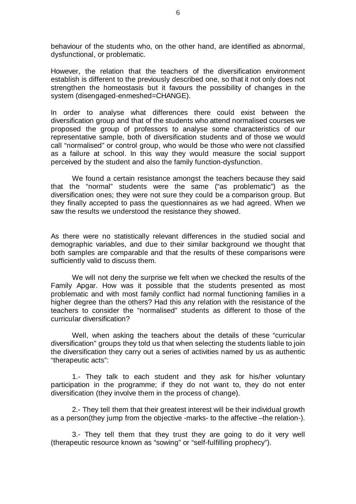behaviour of the students who, on the other hand, are identified as abnormal, dysfunctional, or problematic.

However, the relation that the teachers of the diversification environment establish is different to the previously described one, so that it not only does not strengthen the homeostasis but it favours the possibility of changes in the system (disengaged-enmeshed=CHANGE).

In order to analyse what differences there could exist between the diversification group and that of the students who attend normalised courses we proposed the group of professors to analyse some characteristics of our representative sample, both of diversification students and of those we would call "normalised" or control group, who would be those who were not classified as a failure at school. In this way they would measure the social support perceived by the student and also the family function-dysfunction.

We found a certain resistance amongst the teachers because they said that the "normal" students were the same ("as problematic") as the diversification ones; they were not sure they could be a comparison group. But they finally accepted to pass the questionnaires as we had agreed. When we saw the results we understood the resistance they showed.

As there were no statistically relevant differences in the studied social and demographic variables, and due to their similar background we thought that both samples are comparable and that the results of these comparisons were sufficiently valid to discuss them.

We will not deny the surprise we felt when we checked the results of the Family Apgar. How was it possible that the students presented as most problematic and with most family conflict had normal functioning families in a higher degree than the others? Had this any relation with the resistance of the teachers to consider the "normalised" students as different to those of the curricular diversification?

Well, when asking the teachers about the details of these "curricular diversification" groups they told us that when selecting the students liable to join the diversification they carry out a series of activities named by us as authentic "therapeutic acts":

1.- They talk to each student and they ask for his/her voluntary participation in the programme; if they do not want to, they do not enter diversification (they involve them in the process of change).

2.- They tell them that their greatest interest will be their individual growth as a person(they jump from the objective -marks- to the affective –the relation-).

3.- They tell them that they trust they are going to do it very well (therapeutic resource known as "sowing" or "self-fulfilling prophecy").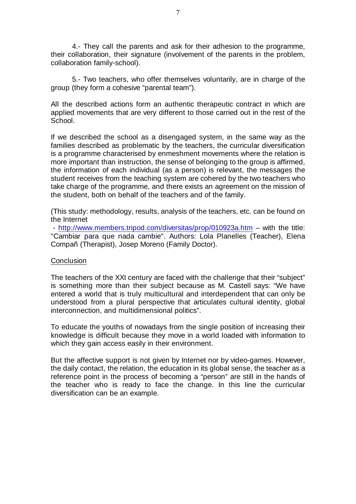4.- They call the parents and ask for their adhesion to the programme, their collaboration, their signature (involvement of the parents in the problem, collaboration family-school).

5.- Two teachers, who offer themselves voluntarily, are in charge of the group (they form a cohesive "parental team").

All the described actions form an authentic therapeutic contract in which are applied movements that are very different to those carried out in the rest of the School.

If we described the school as a disengaged system, in the same way as the families described as problematic by the teachers, the curricular diversification is a programme characterised by enmeshment movements where the relation is more important than instruction, the sense of belonging to the group is affirmed, the information of each individual (as a person) is relevant, the messages the student receives from the teaching system are cohered by the two teachers who take charge of the programme, and there exists an agreement on the mission of the student, both on behalf of the teachers and of the family.

(This study: methodology, results, analysis of the teachers, etc. can be found on the Internet

 - http://www.members.tripod.com/diversitas/prop/010923a.htm – with the title: "Cambiar para que nada cambie". Authors: Lola Planelles (Teacher), Elena Compañ (Therapist), Josep Moreno (Family Doctor).

# **Conclusion**

The teachers of the XXI century are faced with the challenge that their "subject" is something more than their subject because as M. Castell says: "We have entered a world that is truly multicultural and interdependent that can only be understood from a plural perspective that articulates cultural identity, global interconnection, and multidimensional politics".

To educate the youths of nowadays from the single position of increasing their knowledge is difficult because they move in a world loaded with information to which they gain access easily in their environment.

But the affective support is not given by Internet nor by video-games. However, the daily contact, the relation, the education in its global sense, the teacher as a reference point in the process of becoming a "person" are still in the hands of the teacher who is ready to face the change. In this line the curricular diversification can be an example.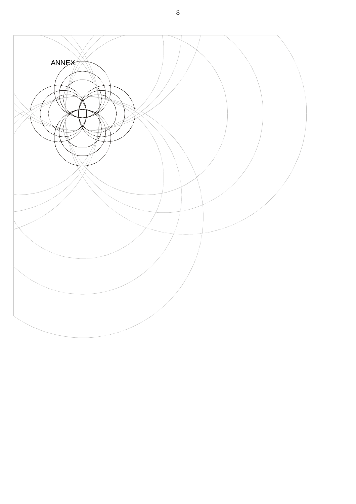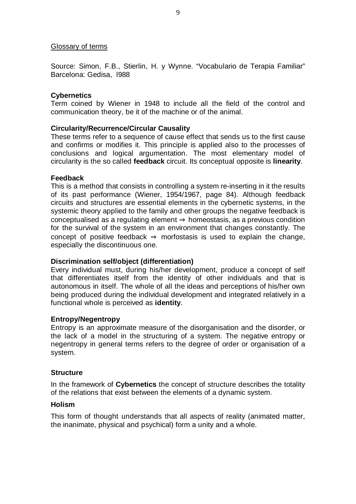### Glossary of terms

Source: Simon, F.B., Stierlin, H. y Wynne. "Vocabulario de Terapia Familiar" Barcelona: Gedisa, l988

## **Cybernetics**

Term coined by Wiener in 1948 to include all the field of the control and communication theory, be it of the machine or of the animal.

## **Circularity/Recurrence/Circular Causality**

These terms refer to a sequence of cause effect that sends us to the first cause and confirms or modifies it. This principle is applied also to the processes of conclusions and logical argumentation. The most elementary model of circularity is the so called **feedback** circuit. Its conceptual opposite is **linearity**.

## **Feedback**

This is a method that consists in controlling a system re-inserting in it the results of its past performance (Wiener, 1954/1967, page 84). Although feedback circuits and structures are essential elements in the cybernetic systems, in the systemic theory applied to the family and other groups the negative feedback is conceptualised as a regulating element  $\Rightarrow$  homeostasis, as a previous condition for the survival of the system in an environment that changes constantly. The concept of positive feedback  $\Rightarrow$  morfostasis is used to explain the change, especially the discontinuous one.

#### **Discrimination self/object (differentiation)**

Every individual must, during his/her development, produce a concept of self that differentiates itself from the identity of other individuals and that is autonomous in itself. The whole of all the ideas and perceptions of his/her own being produced during the individual development and integrated relatively in a functional whole is perceived as **identity**.

#### **Entropy/Negentropy**

Entropy is an approximate measure of the disorganisation and the disorder, or the lack of a model in the structuring of a system. The negative entropy or negentropy in general terms refers to the degree of order or organisation of a system.

#### **Structure**

In the framework of **Cybernetics** the concept of structure describes the totality of the relations that exist between the elements of a dynamic system.

#### **Holism**

This form of thought understands that all aspects of reality (animated matter, the inanimate, physical and psychical) form a unity and a whole.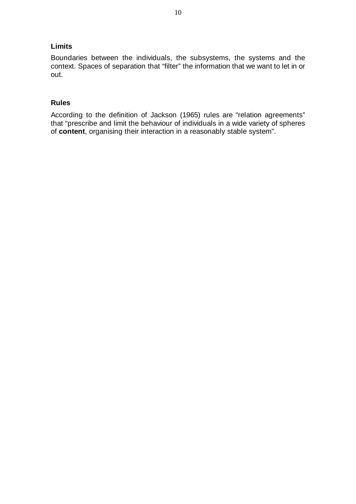# **Limits**

Boundaries between the individuals, the subsystems, the systems and the context. Spaces of separation that "filter" the information that we want to let in or out.

# **Rules**

According to the definition of Jackson (1965) rules are "relation agreements" that "prescribe and limit the behaviour of individuals in a wide variety of spheres of **content**, organising their interaction in a reasonably stable system".